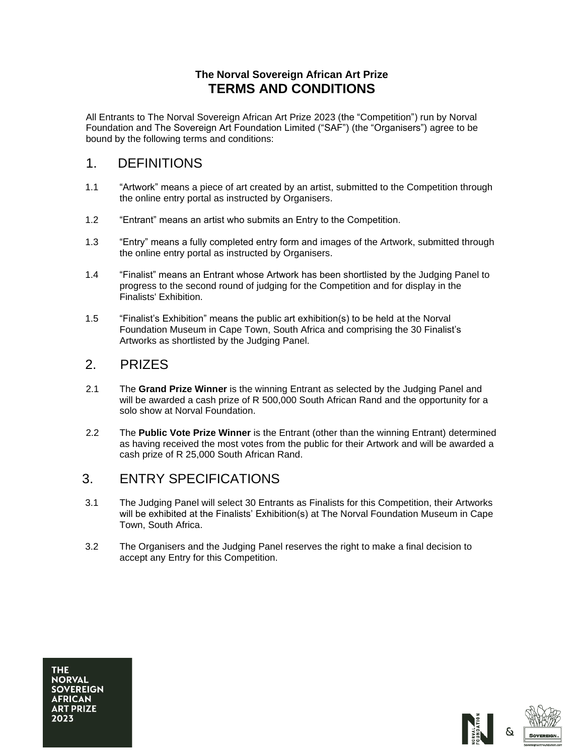#### **The Norval Sovereign African Art Prize TERMS AND CONDITIONS**

All Entrants to The Norval Sovereign African Art Prize 2023 (the "Competition") run by Norval Foundation and The Sovereign Art Foundation Limited ("SAF") (the "Organisers") agree to be bound by the following terms and conditions:

## 1. DEFINITIONS

- 1.1 "Artwork" means a piece of art created by an artist, submitted to the Competition through the online entry portal as instructed by Organisers.
- 1.2 "Entrant" means an artist who submits an Entry to the Competition.
- 1.3 "Entry" means a fully completed entry form and images of the Artwork, submitted through the online entry portal as instructed by Organisers.
- 1.4 "Finalist" means an Entrant whose Artwork has been shortlisted by the Judging Panel to progress to the second round of judging for the Competition and for display in the Finalists' Exhibition.
- 1.5 "Finalist's Exhibition" means the public art exhibition(s) to be held at the Norval Foundation Museum in Cape Town, South Africa and comprising the 30 Finalist's Artworks as shortlisted by the Judging Panel.

## 2. PRIZES

- 2.1 The **Grand Prize Winner** is the winning Entrant as selected by the Judging Panel and will be awarded a cash prize of R 500,000 South African Rand and the opportunity for a solo show at Norval Foundation.
- 2.2 The **Public Vote Prize Winner** is the Entrant (other than the winning Entrant) determined as having received the most votes from the public for their Artwork and will be awarded a cash prize of R 25,000 South African Rand.

## 3. ENTRY SPECIFICATIONS

- 3.1 The Judging Panel will select 30 Entrants as Finalists for this Competition, their Artworks will be exhibited at the Finalists' Exhibition(s) at The Norval Foundation Museum in Cape Town, South Africa.
- 3.2 The Organisers and the Judging Panel reserves the right to make a final decision to accept any Entry for this Competition.

**THE NORVAL SOVEREIGN AFRICAN ART PRIZE** 2023



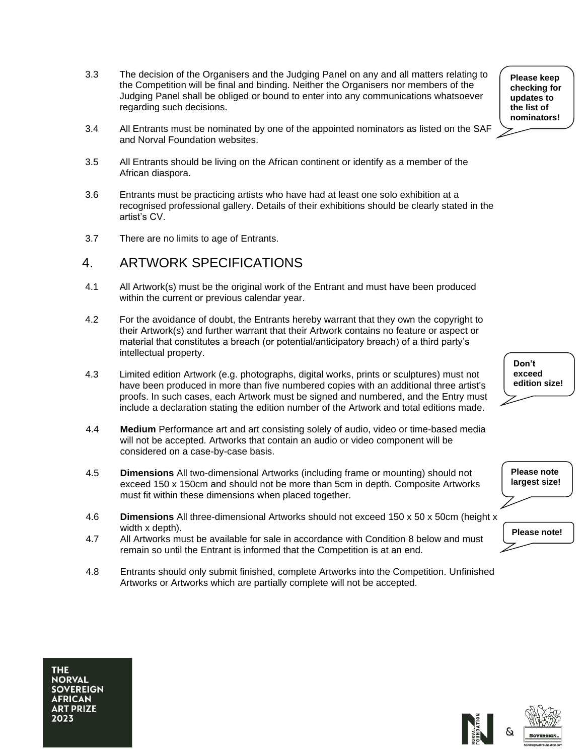- 3.3 The decision of the Organisers and the Judging Panel on any and all matters relating to the Competition will be final and binding. Neither the Organisers nor members of the Judging Panel shall be obliged or bound to enter into any communications whatsoever regarding such decisions.
- 3.4 All Entrants must be nominated by one of the appointed nominators as listed on the SAF and Norval Foundation websites.
- 3.5 All Entrants should be living on the African continent or identify as a member of the African diaspora.
- 3.6 Entrants must be practicing artists who have had at least one solo exhibition at a recognised professional gallery. Details of their exhibitions should be clearly stated in the artist's CV.
- 3.7 There are no limits to age of Entrants.

### 4. ARTWORK SPECIFICATIONS

- 4.1 All Artwork(s) must be the original work of the Entrant and must have been produced within the current or previous calendar year.
- 4.2 For the avoidance of doubt, the Entrants hereby warrant that they own the copyright to their Artwork(s) and further warrant that their Artwork contains no feature or aspect or material that constitutes a breach (or potential/anticipatory breach) of a third party's intellectual property.
- 4.3 Limited edition Artwork (e.g. photographs, digital works, prints or sculptures) must not have been produced in more than five numbered copies with an additional three artist's proofs. In such cases, each Artwork must be signed and numbered, and the Entry must include a declaration stating the edition number of the Artwork and total editions made.
- 4.4 **Medium** Performance art and art consisting solely of audio, video or time-based media will not be accepted. Artworks that contain an audio or video component will be considered on a case-by-case basis.
- 4.5 **Dimensions** All two-dimensional Artworks (including frame or mounting) should not exceed 150 x 150cm and should not be more than 5cm in depth. Composite Artworks must fit within these dimensions when placed together.
- 4.6 **Dimensions** All three-dimensional Artworks should not exceed 150 x 50 x 50cm (height x width x depth).
- 4.7 All Artworks must be available for sale in accordance with Condition 8 below and must remain so until the Entrant is informed that the Competition is at an end.
- 4.8 Entrants should only submit finished, complete Artworks into the Competition. Unfinished Artworks or Artworks which are partially complete will not be accepted.

**Please keep checking for updates to the list of nominators!**

**Don't exceed edition size!**

**Please note largest size!**

**Please note!**

**NORVAL SOVEREIGN AFRICAN ART PRIZE** 2023

**THE** 

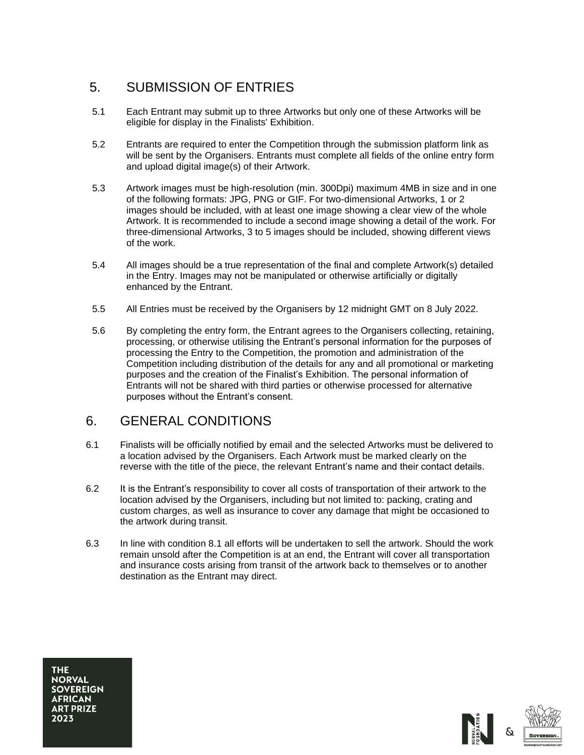# 5. SUBMISSION OF ENTRIES

- 5.1 Each Entrant may submit up to three Artworks but only one of these Artworks will be eligible for display in the Finalists' Exhibition.
- 5.2 Entrants are required to enter the Competition through the submission platform link as will be sent by the Organisers. Entrants must complete all fields of the online entry form and upload digital image(s) of their Artwork.
- 5.3 Artwork images must be high-resolution (min. 300Dpi) maximum 4MB in size and in one of the following formats: JPG, PNG or GIF. For two-dimensional Artworks, 1 or 2 images should be included, with at least one image showing a clear view of the whole Artwork. It is recommended to include a second image showing a detail of the work. For three-dimensional Artworks, 3 to 5 images should be included, showing different views of the work.
- 5.4 All images should be a true representation of the final and complete Artwork(s) detailed in the Entry. Images may not be manipulated or otherwise artificially or digitally enhanced by the Entrant.
- 5.5 All Entries must be received by the Organisers by 12 midnight GMT on 8 July 2022.
- 5.6 By completing the entry form, the Entrant agrees to the Organisers collecting, retaining, processing, or otherwise utilising the Entrant's personal information for the purposes of processing the Entry to the Competition, the promotion and administration of the Competition including distribution of the details for any and all promotional or marketing purposes and the creation of the Finalist's Exhibition. The personal information of Entrants will not be shared with third parties or otherwise processed for alternative purposes without the Entrant's consent.

## 6. GENERAL CONDITIONS

- 6.1 Finalists will be officially notified by email and the selected Artworks must be delivered to a location advised by the Organisers. Each Artwork must be marked clearly on the reverse with the title of the piece, the relevant Entrant's name and their contact details.
- 6.2 It is the Entrant's responsibility to cover all costs of transportation of their artwork to the location advised by the Organisers, including but not limited to: packing, crating and custom charges, as well as insurance to cover any damage that might be occasioned to the artwork during transit.
- 6.3 In line with condition 8.1 all efforts will be undertaken to sell the artwork. Should the work remain unsold after the Competition is at an end, the Entrant will cover all transportation and insurance costs arising from transit of the artwork back to themselves or to another destination as the Entrant may direct.

**THE NORVAL SOVEREIGN AFRICAN ART PRIZE** 2023



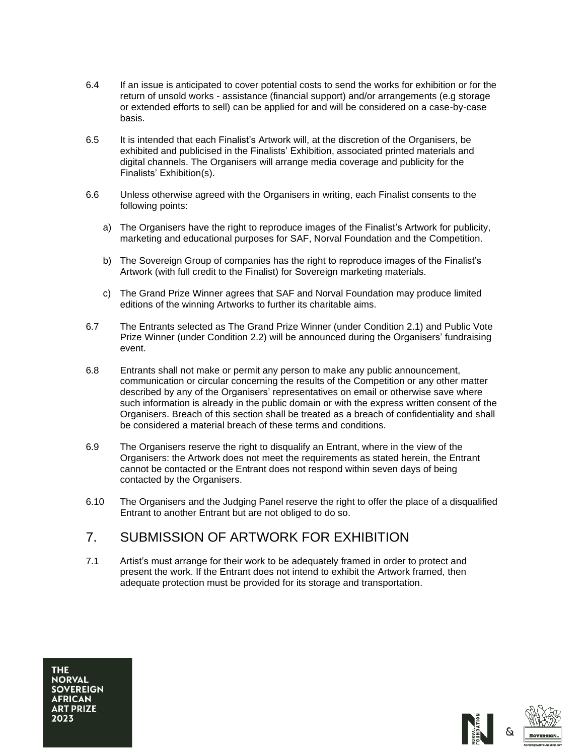- 6.4 If an issue is anticipated to cover potential costs to send the works for exhibition or for the return of unsold works - assistance (financial support) and/or arrangements (e.g storage or extended efforts to sell) can be applied for and will be considered on a case-by-case basis.
- 6.5 It is intended that each Finalist's Artwork will, at the discretion of the Organisers, be exhibited and publicised in the Finalists' Exhibition, associated printed materials and digital channels. The Organisers will arrange media coverage and publicity for the Finalists' Exhibition(s).
- 6.6 Unless otherwise agreed with the Organisers in writing, each Finalist consents to the following points:
	- a) The Organisers have the right to reproduce images of the Finalist's Artwork for publicity, marketing and educational purposes for SAF, Norval Foundation and the Competition.
	- b) The Sovereign Group of companies has the right to reproduce images of the Finalist's Artwork (with full credit to the Finalist) for Sovereign marketing materials.
	- c) The Grand Prize Winner agrees that SAF and Norval Foundation may produce limited editions of the winning Artworks to further its charitable aims.
- 6.7 The Entrants selected as The Grand Prize Winner (under Condition 2.1) and Public Vote Prize Winner (under Condition 2.2) will be announced during the Organisers' fundraising event.
- 6.8 Entrants shall not make or permit any person to make any public announcement, communication or circular concerning the results of the Competition or any other matter described by any of the Organisers' representatives on email or otherwise save where such information is already in the public domain or with the express written consent of the Organisers. Breach of this section shall be treated as a breach of confidentiality and shall be considered a material breach of these terms and conditions.
- 6.9 The Organisers reserve the right to disqualify an Entrant, where in the view of the Organisers: the Artwork does not meet the requirements as stated herein, the Entrant cannot be contacted or the Entrant does not respond within seven days of being contacted by the Organisers.
- 6.10 The Organisers and the Judging Panel reserve the right to offer the place of a disqualified Entrant to another Entrant but are not obliged to do so.

## 7. SUBMISSION OF ARTWORK FOR EXHIBITION

7.1 Artist's must arrange for their work to be adequately framed in order to protect and present the work. If the Entrant does not intend to exhibit the Artwork framed, then adequate protection must be provided for its storage and transportation.

**THE NORVAL SOVEREIGN AFRICAN ART PRIZE** 2023